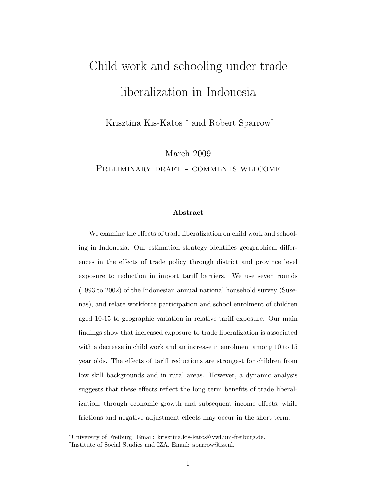# Child work and schooling under trade liberalization in Indonesia

Krisztina Kis-Katos <sup>∗</sup> and Robert Sparrow†

March 2009

PRELIMINARY DRAFT - COMMENTS WELCOME

#### **Abstract**

We examine the effects of trade liberalization on child work and schooling in Indonesia. Our estimation strategy identifies geographical differences in the effects of trade policy through district and province level exposure to reduction in import tariff barriers. We use seven rounds (1993 to 2002) of the Indonesian annual national household survey (Susenas), and relate workforce participation and school enrolment of children aged 10-15 to geographic variation in relative tariff exposure. Our main findings show that increased exposure to trade liberalization is associated with a decrease in child work and an increase in enrolment among 10 to 15 year olds. The effects of tariff reductions are strongest for children from low skill backgrounds and in rural areas. However, a dynamic analysis suggests that these effects reflect the long term benefits of trade liberalization, through economic growth and subsequent income effects, while frictions and negative adjustment effects may occur in the short term.

<sup>∗</sup>University of Freiburg. Email: krisztina.kis-katos@vwl.uni-freiburg.de.

<sup>†</sup>Institute of Social Studies and IZA. Email: sparrow@iss.nl.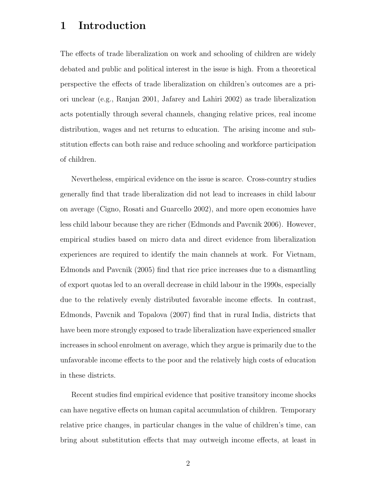# **1 Introduction**

The effects of trade liberalization on work and schooling of children are widely debated and public and political interest in the issue is high. From a theoretical perspective the effects of trade liberalization on children's outcomes are a priori unclear (e.g., Ranjan 2001, Jafarey and Lahiri 2002) as trade liberalization acts potentially through several channels, changing relative prices, real income distribution, wages and net returns to education. The arising income and substitution effects can both raise and reduce schooling and workforce participation of children.

Nevertheless, empirical evidence on the issue is scarce. Cross-country studies generally find that trade liberalization did not lead to increases in child labour on average (Cigno, Rosati and Guarcello 2002), and more open economies have less child labour because they are richer (Edmonds and Pavcnik 2006). However, empirical studies based on micro data and direct evidence from liberalization experiences are required to identify the main channels at work. For Vietnam, Edmonds and Pavcnik (2005) find that rice price increases due to a dismantling of export quotas led to an overall decrease in child labour in the 1990s, especially due to the relatively evenly distributed favorable income effects. In contrast, Edmonds, Pavcnik and Topalova (2007) find that in rural India, districts that have been more strongly exposed to trade liberalization have experienced smaller increases in school enrolment on average, which they argue is primarily due to the unfavorable income effects to the poor and the relatively high costs of education in these districts.

Recent studies find empirical evidence that positive transitory income shocks can have negative effects on human capital accumulation of children. Temporary relative price changes, in particular changes in the value of children's time, can bring about substitution effects that may outweigh income effects, at least in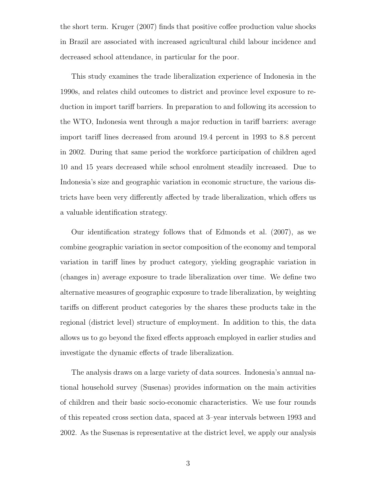the short term. Kruger (2007) finds that positive coffee production value shocks in Brazil are associated with increased agricultural child labour incidence and decreased school attendance, in particular for the poor.

This study examines the trade liberalization experience of Indonesia in the 1990s, and relates child outcomes to district and province level exposure to reduction in import tariff barriers. In preparation to and following its accession to the WTO, Indonesia went through a major reduction in tariff barriers: average import tariff lines decreased from around 19.4 percent in 1993 to 8.8 percent in 2002. During that same period the workforce participation of children aged 10 and 15 years decreased while school enrolment steadily increased. Due to Indonesia's size and geographic variation in economic structure, the various districts have been very differently affected by trade liberalization, which offers us a valuable identification strategy.

Our identification strategy follows that of Edmonds et al. (2007), as we combine geographic variation in sector composition of the economy and temporal variation in tariff lines by product category, yielding geographic variation in (changes in) average exposure to trade liberalization over time. We define two alternative measures of geographic exposure to trade liberalization, by weighting tariffs on different product categories by the shares these products take in the regional (district level) structure of employment. In addition to this, the data allows us to go beyond the fixed effects approach employed in earlier studies and investigate the dynamic effects of trade liberalization.

The analysis draws on a large variety of data sources. Indonesia's annual national household survey (Susenas) provides information on the main activities of children and their basic socio-economic characteristics. We use four rounds of this repeated cross section data, spaced at 3–year intervals between 1993 and 2002. As the Susenas is representative at the district level, we apply our analysis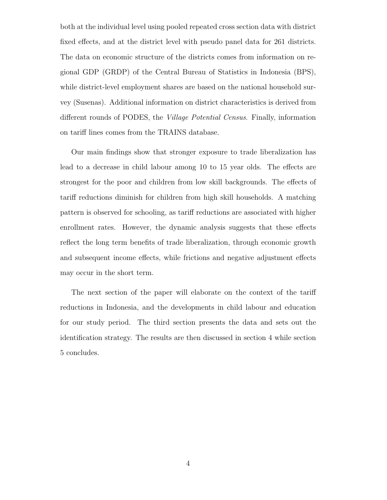both at the individual level using pooled repeated cross section data with district fixed effects, and at the district level with pseudo panel data for 261 districts. The data on economic structure of the districts comes from information on regional GDP (GRDP) of the Central Bureau of Statistics in Indonesia (BPS), while district-level employment shares are based on the national household survey (Susenas). Additional information on district characteristics is derived from different rounds of PODES, the Village Potential Census. Finally, information on tariff lines comes from the TRAINS database.

Our main findings show that stronger exposure to trade liberalization has lead to a decrease in child labour among 10 to 15 year olds. The effects are strongest for the poor and children from low skill backgrounds. The effects of tariff reductions diminish for children from high skill households. A matching pattern is observed for schooling, as tariff reductions are associated with higher enrollment rates. However, the dynamic analysis suggests that these effects reflect the long term benefits of trade liberalization, through economic growth and subsequent income effects, while frictions and negative adjustment effects may occur in the short term.

The next section of the paper will elaborate on the context of the tariff reductions in Indonesia, and the developments in child labour and education for our study period. The third section presents the data and sets out the identification strategy. The results are then discussed in section 4 while section 5 concludes.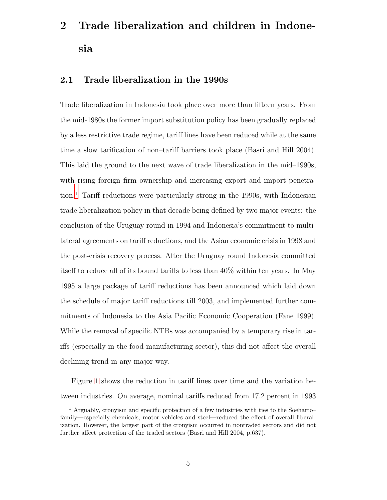# **2 Trade liberalization and children in Indonesia**

# **2.1 Trade liberalization in the 1990s**

Trade liberalization in Indonesia took place over more than fifteen years. From the mid-1980s the former import substitution policy has been gradually replaced by a less restrictive trade regime, tariff lines have been reduced while at the same time a slow tarification of non–tariff barriers took place (Basri and Hill 2004). This laid the ground to the next wave of trade liberalization in the mid–1990s, with rising foreign firm ownership and increasing export and import penetration.[1](#page-4-0) Tariff reductions were particularly strong in the 1990s, with Indonesian trade liberalization policy in that decade being defined by two major events: the conclusion of the Uruguay round in 1994 and Indonesia's commitment to multilateral agreements on tariff reductions, and the Asian economic crisis in 1998 and the post-crisis recovery process. After the Uruguay round Indonesia committed itself to reduce all of its bound tariffs to less than 40% within ten years. In May 1995 a large package of tariff reductions has been announced which laid down the schedule of major tariff reductions till 2003, and implemented further commitments of Indonesia to the Asia Pacific Economic Cooperation (Fane 1999). While the removal of specific NTBs was accompanied by a temporary rise in tariffs (especially in the food manufacturing sector), this did not affect the overall declining trend in any major way.

Figure [1](#page-35-0) shows the reduction in tariff lines over time and the variation between industries. On average, nominal tariffs reduced from 17.2 percent in 1993

<span id="page-4-0"></span><sup>1</sup> Arguably, cronyism and specific protection of a few industries with ties to the Soeharto– family—especially chemicals, motor vehicles and steel—reduced the effect of overall liberalization. However, the largest part of the cronyism occurred in nontraded sectors and did not further affect protection of the traded sectors (Basri and Hill 2004, p.637).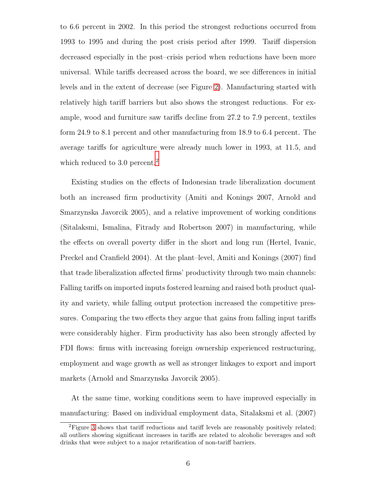to 6.6 percent in 2002. In this period the strongest reductions occurred from 1993 to 1995 and during the post crisis period after 1999. Tariff dispersion decreased especially in the post–crisis period when reductions have been more universal. While tariffs decreased across the board, we see differences in initial levels and in the extent of decrease (see Figure [2\)](#page-35-1). Manufacturing started with relatively high tariff barriers but also shows the strongest reductions. For example, wood and furniture saw tariffs decline from 27.2 to 7.9 percent, textiles form 24.9 to 8.1 percent and other manufacturing from 18.9 to 6.4 percent. The average tariffs for agriculture were already much lower in 1993, at 11.5, and which reduced to 3.0 percent.<sup>[2](#page-5-0)</sup>

Existing studies on the effects of Indonesian trade liberalization document both an increased firm productivity (Amiti and Konings 2007, Arnold and Smarzynska Javorcik 2005), and a relative improvement of working conditions (Sitalaksmi, Ismalina, Fitrady and Robertson 2007) in manufacturing, while the effects on overall poverty differ in the short and long run (Hertel, Ivanic, Preckel and Cranfield 2004). At the plant–level, Amiti and Konings (2007) find that trade liberalization affected firms' productivity through two main channels: Falling tariffs on imported inputs fostered learning and raised both product quality and variety, while falling output protection increased the competitive pressures. Comparing the two effects they argue that gains from falling input tariffs were considerably higher. Firm productivity has also been strongly affected by FDI flows: firms with increasing foreign ownership experienced restructuring, employment and wage growth as well as stronger linkages to export and import markets (Arnold and Smarzynska Javorcik 2005).

At the same time, working conditions seem to have improved especially in manufacturing: Based on individual employment data, Sitalaksmi et al. (2007)

<span id="page-5-0"></span><sup>2</sup>Figure [3](#page-36-0) shows that tariff reductions and tariff levels are reasonably positively related; all outliers showing significant increases in tariffs are related to alcoholic beverages and soft drinks that were subject to a major retarification of non-tariff barriers.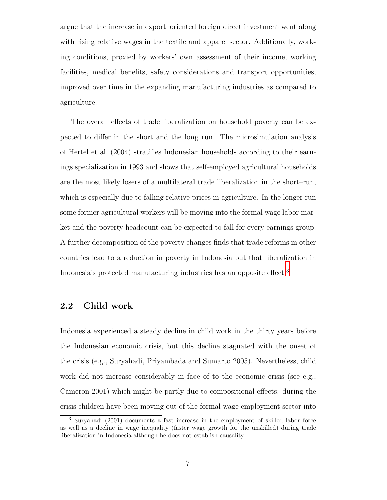argue that the increase in export–oriented foreign direct investment went along with rising relative wages in the textile and apparel sector. Additionally, working conditions, proxied by workers' own assessment of their income, working facilities, medical benefits, safety considerations and transport opportunities, improved over time in the expanding manufacturing industries as compared to agriculture.

The overall effects of trade liberalization on household poverty can be expected to differ in the short and the long run. The microsimulation analysis of Hertel et al. (2004) stratifies Indonesian households according to their earnings specialization in 1993 and shows that self-employed agricultural households are the most likely losers of a multilateral trade liberalization in the short–run, which is especially due to falling relative prices in agriculture. In the longer run some former agricultural workers will be moving into the formal wage labor market and the poverty headcount can be expected to fall for every earnings group. A further decomposition of the poverty changes finds that trade reforms in other countries lead to a reduction in poverty in Indonesia but that liberalization in Indonesia's protected manufacturing industries has an opposite effect.[3](#page-6-0)

# **2.2 Child work**

Indonesia experienced a steady decline in child work in the thirty years before the Indonesian economic crisis, but this decline stagnated with the onset of the crisis (e.g., Suryahadi, Priyambada and Sumarto 2005). Nevertheless, child work did not increase considerably in face of to the economic crisis (see e.g., Cameron 2001) which might be partly due to compositional effects: during the crisis children have been moving out of the formal wage employment sector into

<span id="page-6-0"></span><sup>3</sup> Suryahadi (2001) documents a fast increase in the employment of skilled labor force as well as a decline in wage inequality (faster wage growth for the unskilled) during trade liberalization in Indonesia although he does not establish causality.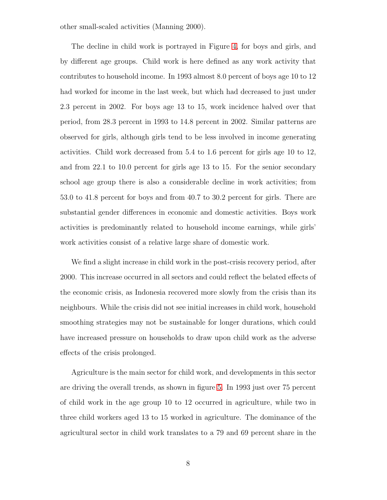other small-scaled activities (Manning 2000).

The decline in child work is portrayed in Figure [4,](#page-36-1) for boys and girls, and by different age groups. Child work is here defined as any work activity that contributes to household income. In 1993 almost 8.0 percent of boys age 10 to 12 had worked for income in the last week, but which had decreased to just under 2.3 percent in 2002. For boys age 13 to 15, work incidence halved over that period, from 28.3 percent in 1993 to 14.8 percent in 2002. Similar patterns are observed for girls, although girls tend to be less involved in income generating activities. Child work decreased from 5.4 to 1.6 percent for girls age 10 to 12, and from 22.1 to 10.0 percent for girls age 13 to 15. For the senior secondary school age group there is also a considerable decline in work activities; from 53.0 to 41.8 percent for boys and from 40.7 to 30.2 percent for girls. There are substantial gender differences in economic and domestic activities. Boys work activities is predominantly related to household income earnings, while girls' work activities consist of a relative large share of domestic work.

We find a slight increase in child work in the post-crisis recovery period, after 2000. This increase occurred in all sectors and could reflect the belated effects of the economic crisis, as Indonesia recovered more slowly from the crisis than its neighbours. While the crisis did not see initial increases in child work, household smoothing strategies may not be sustainable for longer durations, which could have increased pressure on households to draw upon child work as the adverse effects of the crisis prolonged.

Agriculture is the main sector for child work, and developments in this sector are driving the overall trends, as shown in figure [5.](#page-37-0) In 1993 just over 75 percent of child work in the age group 10 to 12 occurred in agriculture, while two in three child workers aged 13 to 15 worked in agriculture. The dominance of the agricultural sector in child work translates to a 79 and 69 percent share in the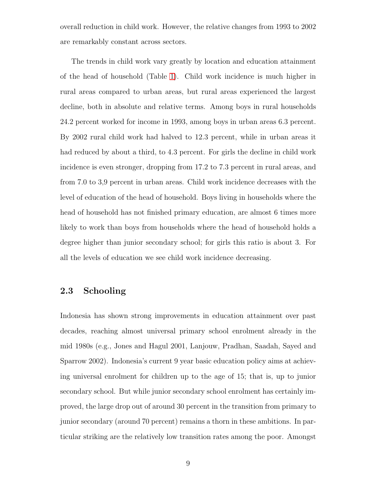overall reduction in child work. However, the relative changes from 1993 to 2002 are remarkably constant across sectors.

The trends in child work vary greatly by location and education attainment of the head of household (Table [1\)](#page-28-0). Child work incidence is much higher in rural areas compared to urban areas, but rural areas experienced the largest decline, both in absolute and relative terms. Among boys in rural households 24.2 percent worked for income in 1993, among boys in urban areas 6.3 percent. By 2002 rural child work had halved to 12.3 percent, while in urban areas it had reduced by about a third, to 4.3 percent. For girls the decline in child work incidence is even stronger, dropping from 17.2 to 7.3 percent in rural areas, and from 7.0 to 3,9 percent in urban areas. Child work incidence decreases with the level of education of the head of household. Boys living in households where the head of household has not finished primary education, are almost 6 times more likely to work than boys from households where the head of household holds a degree higher than junior secondary school; for girls this ratio is about 3. For all the levels of education we see child work incidence decreasing.

## **2.3 Schooling**

Indonesia has shown strong improvements in education attainment over past decades, reaching almost universal primary school enrolment already in the mid 1980s (e.g., Jones and Hagul 2001, Lanjouw, Pradhan, Saadah, Sayed and Sparrow 2002). Indonesia's current 9 year basic education policy aims at achieving universal enrolment for children up to the age of 15; that is, up to junior secondary school. But while junior secondary school enrolment has certainly improved, the large drop out of around 30 percent in the transition from primary to junior secondary (around 70 percent) remains a thorn in these ambitions. In particular striking are the relatively low transition rates among the poor. Amongst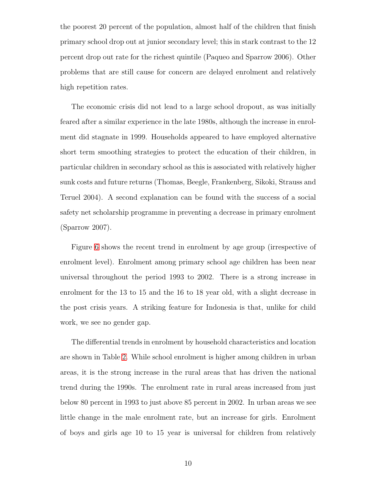the poorest 20 percent of the population, almost half of the children that finish primary school drop out at junior secondary level; this in stark contrast to the 12 percent drop out rate for the richest quintile (Paqueo and Sparrow 2006). Other problems that are still cause for concern are delayed enrolment and relatively high repetition rates.

The economic crisis did not lead to a large school dropout, as was initially feared after a similar experience in the late 1980s, although the increase in enrolment did stagnate in 1999. Households appeared to have employed alternative short term smoothing strategies to protect the education of their children, in particular children in secondary school as this is associated with relatively higher sunk costs and future returns (Thomas, Beegle, Frankenberg, Sikoki, Strauss and Teruel 2004). A second explanation can be found with the success of a social safety net scholarship programme in preventing a decrease in primary enrolment (Sparrow 2007).

Figure [6](#page-37-1) shows the recent trend in enrolment by age group (irrespective of enrolment level). Enrolment among primary school age children has been near universal throughout the period 1993 to 2002. There is a strong increase in enrolment for the 13 to 15 and the 16 to 18 year old, with a slight decrease in the post crisis years. A striking feature for Indonesia is that, unlike for child work, we see no gender gap.

The differential trends in enrolment by household characteristics and location are shown in Table [2.](#page-29-0) While school enrolment is higher among children in urban areas, it is the strong increase in the rural areas that has driven the national trend during the 1990s. The enrolment rate in rural areas increased from just below 80 percent in 1993 to just above 85 percent in 2002. In urban areas we see little change in the male enrolment rate, but an increase for girls. Enrolment of boys and girls age 10 to 15 year is universal for children from relatively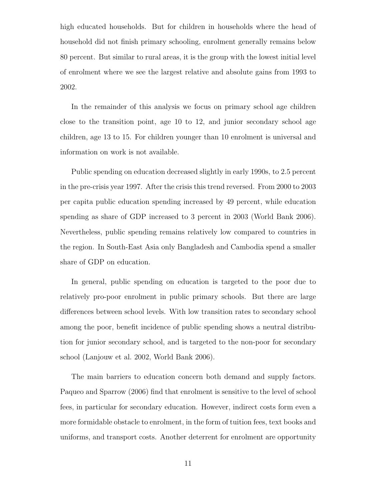high educated households. But for children in households where the head of household did not finish primary schooling, enrolment generally remains below 80 percent. But similar to rural areas, it is the group with the lowest initial level of enrolment where we see the largest relative and absolute gains from 1993 to 2002.

In the remainder of this analysis we focus on primary school age children close to the transition point, age 10 to 12, and junior secondary school age children, age 13 to 15. For children younger than 10 enrolment is universal and information on work is not available.

Public spending on education decreased slightly in early 1990s, to 2.5 percent in the pre-crisis year 1997. After the crisis this trend reversed. From 2000 to 2003 per capita public education spending increased by 49 percent, while education spending as share of GDP increased to 3 percent in 2003 (World Bank 2006). Nevertheless, public spending remains relatively low compared to countries in the region. In South-East Asia only Bangladesh and Cambodia spend a smaller share of GDP on education.

In general, public spending on education is targeted to the poor due to relatively pro-poor enrolment in public primary schools. But there are large differences between school levels. With low transition rates to secondary school among the poor, benefit incidence of public spending shows a neutral distribution for junior secondary school, and is targeted to the non-poor for secondary school (Lanjouw et al. 2002, World Bank 2006).

The main barriers to education concern both demand and supply factors. Paqueo and Sparrow (2006) find that enrolment is sensitive to the level of school fees, in particular for secondary education. However, indirect costs form even a more formidable obstacle to enrolment, in the form of tuition fees, text books and uniforms, and transport costs. Another deterrent for enrolment are opportunity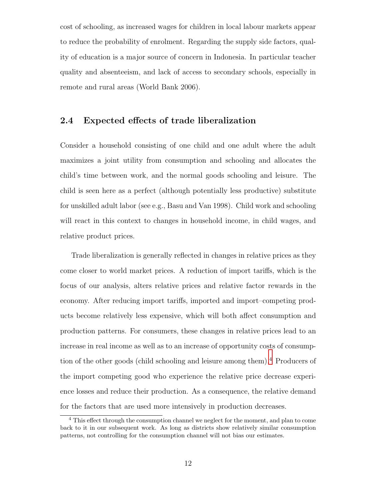cost of schooling, as increased wages for children in local labour markets appear to reduce the probability of enrolment. Regarding the supply side factors, quality of education is a major source of concern in Indonesia. In particular teacher quality and absenteeism, and lack of access to secondary schools, especially in remote and rural areas (World Bank 2006).

## **2.4 Expected effects of trade liberalization**

Consider a household consisting of one child and one adult where the adult maximizes a joint utility from consumption and schooling and allocates the child's time between work, and the normal goods schooling and leisure. The child is seen here as a perfect (although potentially less productive) substitute for unskilled adult labor (see e.g., Basu and Van 1998). Child work and schooling will react in this context to changes in household income, in child wages, and relative product prices.

Trade liberalization is generally reflected in changes in relative prices as they come closer to world market prices. A reduction of import tariffs, which is the focus of our analysis, alters relative prices and relative factor rewards in the economy. After reducing import tariffs, imported and import–competing products become relatively less expensive, which will both affect consumption and production patterns. For consumers, these changes in relative prices lead to an increase in real income as well as to an increase of opportunity costs of consumption of the other goods (child schooling and leisure among them).[4](#page-11-0) Producers of the import competing good who experience the relative price decrease experience losses and reduce their production. As a consequence, the relative demand for the factors that are used more intensively in production decreases.

<span id="page-11-0"></span><sup>4</sup> This effect through the consumption channel we neglect for the moment, and plan to come back to it in our subsequent work. As long as districts show relatively similar consumption patterns, not controlling for the consumption channel will not bias our estimates.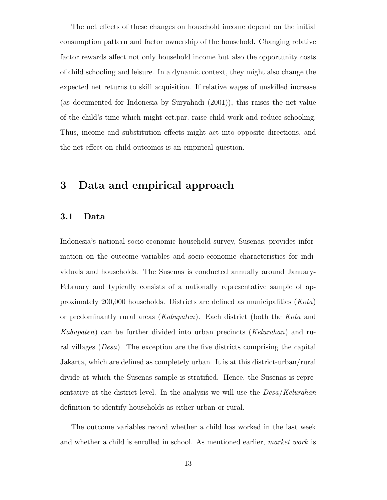The net effects of these changes on household income depend on the initial consumption pattern and factor ownership of the household. Changing relative factor rewards affect not only household income but also the opportunity costs of child schooling and leisure. In a dynamic context, they might also change the expected net returns to skill acquisition. If relative wages of unskilled increase (as documented for Indonesia by Suryahadi (2001)), this raises the net value of the child's time which might cet.par. raise child work and reduce schooling. Thus, income and substitution effects might act into opposite directions, and the net effect on child outcomes is an empirical question.

# **3 Data and empirical approach**

### **3.1 Data**

Indonesia's national socio-economic household survey, Susenas, provides information on the outcome variables and socio-economic characteristics for individuals and households. The Susenas is conducted annually around January-February and typically consists of a nationally representative sample of approximately 200,000 households. Districts are defined as municipalities (Kota) or predominantly rural areas (Kabupaten). Each district (both the Kota and Kabupaten) can be further divided into urban precincts (Kelurahan) and rural villages (Desa). The exception are the five districts comprising the capital Jakarta, which are defined as completely urban. It is at this district-urban/rural divide at which the Susenas sample is stratified. Hence, the Susenas is representative at the district level. In the analysis we will use the  $Desa/Kelurahan$ definition to identify households as either urban or rural.

The outcome variables record whether a child has worked in the last week and whether a child is enrolled in school. As mentioned earlier, market work is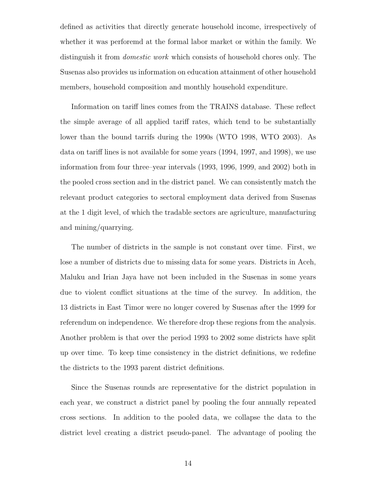defined as activities that directly generate household income, irrespectively of whether it was perforemd at the formal labor market or within the family. We distinguish it from domestic work which consists of household chores only. The Susenas also provides us information on education attainment of other household members, household composition and monthly household expenditure.

Information on tariff lines comes from the TRAINS database. These reflect the simple average of all applied tariff rates, which tend to be substantially lower than the bound tarrifs during the 1990s (WTO 1998, WTO 2003). As data on tariff lines is not available for some years (1994, 1997, and 1998), we use information from four three–year intervals (1993, 1996, 1999, and 2002) both in the pooled cross section and in the district panel. We can consistently match the relevant product categories to sectoral employment data derived from Susenas at the 1 digit level, of which the tradable sectors are agriculture, manufacturing and mining/quarrying.

The number of districts in the sample is not constant over time. First, we lose a number of districts due to missing data for some years. Districts in Aceh, Maluku and Irian Jaya have not been included in the Susenas in some years due to violent conflict situations at the time of the survey. In addition, the 13 districts in East Timor were no longer covered by Susenas after the 1999 for referendum on independence. We therefore drop these regions from the analysis. Another problem is that over the period 1993 to 2002 some districts have split up over time. To keep time consistency in the district definitions, we redefine the districts to the 1993 parent district definitions.

Since the Susenas rounds are representative for the district population in each year, we construct a district panel by pooling the four annually repeated cross sections. In addition to the pooled data, we collapse the data to the district level creating a district pseudo-panel. The advantage of pooling the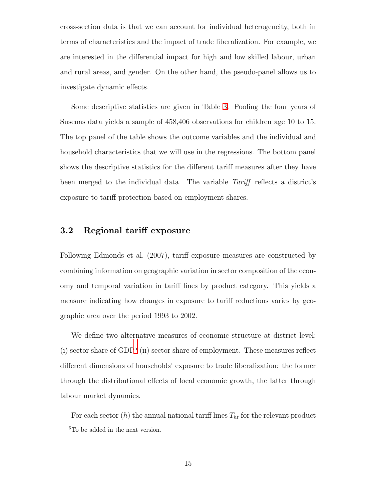cross-section data is that we can account for individual heterogeneity, both in terms of characteristics and the impact of trade liberalization. For example, we are interested in the differential impact for high and low skilled labour, urban and rural areas, and gender. On the other hand, the pseudo-panel allows us to investigate dynamic effects.

Some descriptive statistics are given in Table [3.](#page-30-0) Pooling the four years of Susenas data yields a sample of 458,406 observations for children age 10 to 15. The top panel of the table shows the outcome variables and the individual and household characteristics that we will use in the regressions. The bottom panel shows the descriptive statistics for the different tariff measures after they have been merged to the individual data. The variable Tariff reflects a district's exposure to tariff protection based on employment shares.

## **3.2 Regional tariff exposure**

Following Edmonds et al. (2007), tariff exposure measures are constructed by combining information on geographic variation in sector composition of the economy and temporal variation in tariff lines by product category. This yields a measure indicating how changes in exposure to tariff reductions varies by geographic area over the period 1993 to 2002.

We define two alternative measures of economic structure at district level: (i) sector share of  $GDP<sup>5</sup>$  $GDP<sup>5</sup>$  $GDP<sup>5</sup>$  (ii) sector share of employment. These measures reflect different dimensions of households' exposure to trade liberalization: the former through the distributional effects of local economic growth, the latter through labour market dynamics.

For each sector  $(h)$  the annual national tariff lines  $T_{ht}$  for the relevant product

<span id="page-14-0"></span><sup>&</sup>lt;sup>5</sup>To be added in the next version.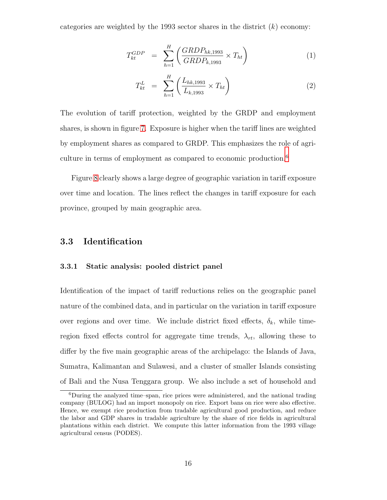categories are weighted by the 1993 sector shares in the district  $(k)$  economy:

$$
T_{kt}^{GDP} = \sum_{h=1}^{H} \left( \frac{GRDP_{hk, 1993}}{GRDP_{k, 1993}} \times T_{ht} \right) \tag{1}
$$

$$
T_{kt}^{L} = \sum_{h=1}^{H} \left( \frac{L_{hk, 1993}}{L_{k, 1993}} \times T_{ht} \right)
$$
 (2)

The evolution of tariff protection, weighted by the GRDP and employment shares, is shown in figure [7.](#page-38-0) Exposure is higher when the tariff lines are weighted by employment shares as compared to GRDP. This emphasizes the role of agri-culture in terms of employment as compared to economic production.<sup>[6](#page-15-0)</sup>

Figure [8](#page-39-0) clearly shows a large degree of geographic variation in tariff exposure over time and location. The lines reflect the changes in tariff exposure for each province, grouped by main geographic area.

### **3.3 Identification**

#### **3.3.1 Static analysis: pooled district panel**

Identification of the impact of tariff reductions relies on the geographic panel nature of the combined data, and in particular on the variation in tariff exposure over regions and over time. We include district fixed effects,  $\delta_k$ , while timeregion fixed effects control for aggregate time trends,  $\lambda_{rt}$ , allowing these to differ by the five main geographic areas of the archipelago: the Islands of Java, Sumatra, Kalimantan and Sulawesi, and a cluster of smaller Islands consisting of Bali and the Nusa Tenggara group. We also include a set of household and

<span id="page-15-0"></span><sup>6</sup>During the analyzed time–span, rice prices were administered, and the national trading company (BULOG) had an import monopoly on rice. Export bans on rice were also effective. Hence, we exempt rice production from tradable agricultural good production, and reduce the labor and GDP shares in tradable agriculture by the share of rice fields in agricultural plantations within each district. We compute this latter information from the 1993 village agricultural census (PODES).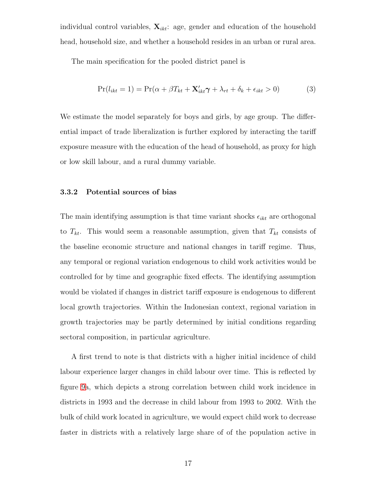individual control variables,  $\mathbf{X}_{ikt}$ : age, gender and education of the household head, household size, and whether a household resides in an urban or rural area.

The main specification for the pooled district panel is

<span id="page-16-0"></span>
$$
Pr(l_{ikt} = 1) = Pr(\alpha + \beta T_{kt} + \mathbf{X}'_{ikt}\boldsymbol{\gamma} + \lambda_{rt} + \delta_k + \epsilon_{ikt} > 0)
$$
\n(3)

We estimate the model separately for boys and girls, by age group. The differential impact of trade liberalization is further explored by interacting the tariff exposure measure with the education of the head of household, as proxy for high or low skill labour, and a rural dummy variable.

#### **3.3.2 Potential sources of bias**

The main identifying assumption is that time variant shocks  $\epsilon_{ikt}$  are orthogonal to  $T_{kt}$ . This would seem a reasonable assumption, given that  $T_{kt}$  consists of the baseline economic structure and national changes in tariff regime. Thus, any temporal or regional variation endogenous to child work activities would be controlled for by time and geographic fixed effects. The identifying assumption would be violated if changes in district tariff exposure is endogenous to different local growth trajectories. Within the Indonesian context, regional variation in growth trajectories may be partly determined by initial conditions regarding sectoral composition, in particular agriculture.

A first trend to note is that districts with a higher initial incidence of child labour experience larger changes in child labour over time. This is reflected by figure [9a](#page-40-0), which depicts a strong correlation between child work incidence in districts in 1993 and the decrease in child labour from 1993 to 2002. With the bulk of child work located in agriculture, we would expect child work to decrease faster in districts with a relatively large share of of the population active in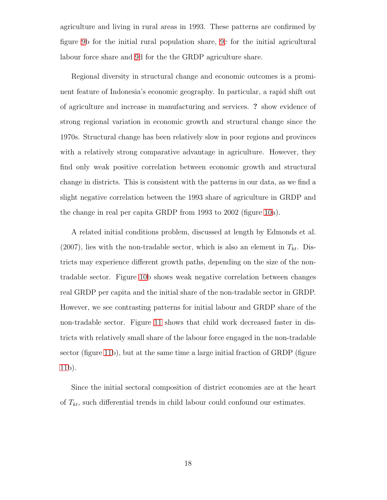agriculture and living in rural areas in 1993. These patterns are confirmed by figure [9b](#page-40-0) for the initial rural population share, [9c](#page-40-0) for the initial agricultural labour force share and [9d](#page-40-0) for the the GRDP agriculture share.

Regional diversity in structural change and economic outcomes is a prominent feature of Indonesia's economic geography. In particular, a rapid shift out of agriculture and increase in manufacturing and services. **?** show evidence of strong regional variation in economic growth and structural change since the 1970s. Structural change has been relatively slow in poor regions and provinces with a relatively strong comparative advantage in agriculture. However, they find only weak positive correlation between economic growth and structural change in districts. This is consistent with the patterns in our data, as we find a slight negative correlation between the 1993 share of agriculture in GRDP and the change in real per capita GRDP from 1993 to 2002 (figure [10a](#page-40-1)).

A related initial conditions problem, discussed at length by Edmonds et al. (2007), lies with the non-tradable sector, which is also an element in  $T_{kt}$ . Districts may experience different growth paths, depending on the size of the nontradable sector. Figure [10b](#page-40-1) shows weak negative correlation between changes real GRDP per capita and the initial share of the non-tradable sector in GRDP. However, we see contrasting patterns for initial labour and GRDP share of the non-tradable sector. Figure [11](#page-41-0) shows that child work decreased faster in districts with relatively small share of the labour force engaged in the non-tradable sector (figure [11b](#page-41-0)), but at the same time a large initial fraction of GRDP (figure [11b](#page-41-0)).

Since the initial sectoral composition of district economies are at the heart of T*kt*, such differential trends in child labour could confound our estimates.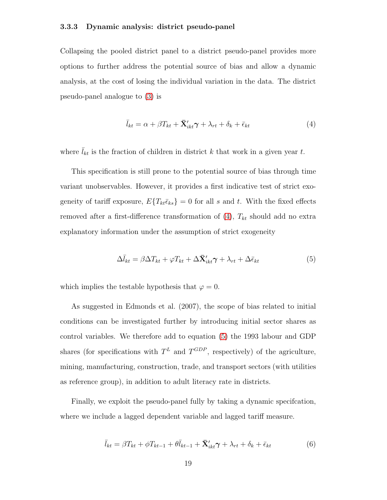#### **3.3.3 Dynamic analysis: district pseudo-panel**

Collapsing the pooled district panel to a district pseudo-panel provides more options to further address the potential source of bias and allow a dynamic analysis, at the cost of losing the individual variation in the data. The district pseudo-panel analogue to [\(3\)](#page-16-0) is

<span id="page-18-0"></span>
$$
\bar{l}_{kt} = \alpha + \beta T_{kt} + \bar{\mathbf{X}}'_{ikt} \boldsymbol{\gamma} + \lambda_{rt} + \delta_k + \bar{\epsilon}_{kt}
$$
\n<sup>(4)</sup>

where  $\bar{l}_{kt}$  is the fraction of children in district k that work in a given year t.

This specification is still prone to the potential source of bias through time variant unobservables. However, it provides a first indicative test of strict exogeneity of tariff exposure,  $E\{T_{kt}\bar{\epsilon}_{ks}\}=0$  for all s and t. With the fixed effects removed after a first-difference transformation of [\(4\)](#page-18-0), T*kt* should add no extra explanatory information under the assumption of strict exogeneity

<span id="page-18-1"></span>
$$
\Delta \bar{l}_{kt} = \beta \Delta T_{kt} + \varphi T_{kt} + \Delta \bar{\mathbf{X}}'_{ikt} \gamma + \lambda_{rt} + \Delta \bar{\epsilon}_{kt}
$$
(5)

which implies the testable hypothesis that  $\varphi = 0$ .

As suggested in Edmonds et al. (2007), the scope of bias related to initial conditions can be investigated further by introducing initial sector shares as control variables. We therefore add to equation [\(5\)](#page-18-1) the 1993 labour and GDP shares (for specifications with  $T^L$  and  $T^{GDP}$ , respectively) of the agriculture, mining, manufacturing, construction, trade, and transport sectors (with utilities as reference group), in addition to adult literacy rate in districts.

Finally, we exploit the pseudo-panel fully by taking a dynamic specifcation, where we include a lagged dependent variable and lagged tariff measure.

$$
\bar{l}_{kt} = \beta T_{kt} + \phi T_{kt-1} + \theta \bar{l}_{kt-1} + \bar{\mathbf{X}}'_{ikt} \boldsymbol{\gamma} + \lambda_{rt} + \delta_k + \bar{\epsilon}_{kt} \tag{6}
$$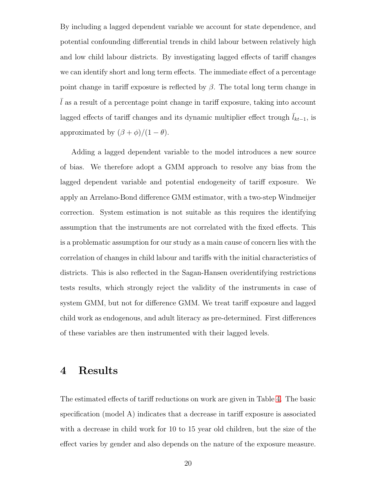By including a lagged dependent variable we account for state dependence, and potential confounding differential trends in child labour between relatively high and low child labour districts. By investigating lagged effects of tariff changes we can identify short and long term effects. The immediate effect of a percentage point change in tariff exposure is reflected by  $\beta$ . The total long term change in  $\overline{l}$  as a result of a percentage point change in tariff exposure, taking into account lagged effects of tariff changes and its dynamic multiplier effect trough  $\bar{l}_{kt-1}$ , is approximated by  $(\beta + \phi)/(1 - \theta)$ .

Adding a lagged dependent variable to the model introduces a new source of bias. We therefore adopt a GMM approach to resolve any bias from the lagged dependent variable and potential endogeneity of tariff exposure. We apply an Arrelano-Bond difference GMM estimator, with a two-step Windmeijer correction. System estimation is not suitable as this requires the identifying assumption that the instruments are not correlated with the fixed effects. This is a problematic assumption for our study as a main cause of concern lies with the correlation of changes in child labour and tariffs with the initial characteristics of districts. This is also reflected in the Sagan-Hansen overidentifying restrictions tests results, which strongly reject the validity of the instruments in case of system GMM, but not for difference GMM. We treat tariff exposure and lagged child work as endogenous, and adult literacy as pre-determined. First differences of these variables are then instrumented with their lagged levels.

# **4 Results**

The estimated effects of tariff reductions on work are given in Table [4.](#page-31-0) The basic specification (model A) indicates that a decrease in tariff exposure is associated with a decrease in child work for 10 to 15 year old children, but the size of the effect varies by gender and also depends on the nature of the exposure measure.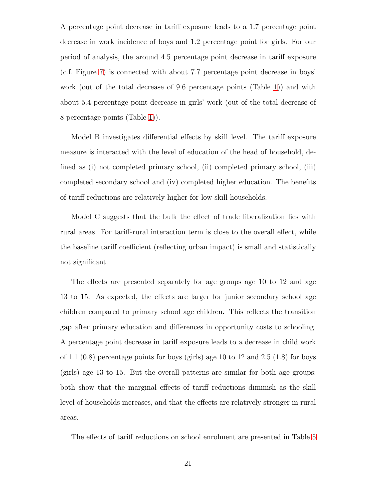A percentage point decrease in tariff exposure leads to a 1.7 percentage point decrease in work incidence of boys and 1.2 percentage point for girls. For our period of analysis, the around 4.5 percentage point decrease in tariff exposure (c.f. Figure [7\)](#page-38-0) is connected with about 7.7 percentage point decrease in boys' work (out of the total decrease of 9.6 percentage points (Table [1\)](#page-28-0)) and with about 5.4 percentage point decrease in girls' work (out of the total decrease of 8 percentage points (Table [1\)](#page-28-0)).

Model B investigates differential effects by skill level. The tariff exposure measure is interacted with the level of education of the head of household, defined as (i) not completed primary school, (ii) completed primary school, (iii) completed secondary school and (iv) completed higher education. The benefits of tariff reductions are relatively higher for low skill households.

Model C suggests that the bulk the effect of trade liberalization lies with rural areas. For tariff-rural interaction term is close to the overall effect, while the baseline tariff coefficient (reflecting urban impact) is small and statistically not significant.

The effects are presented separately for age groups age 10 to 12 and age 13 to 15. As expected, the effects are larger for junior secondary school age children compared to primary school age children. This reflects the transition gap after primary education and differences in opportunity costs to schooling. A percentage point decrease in tariff exposure leads to a decrease in child work of 1.1 (0.8) percentage points for boys (girls) age 10 to 12 and 2.5 (1.8) for boys (girls) age 13 to 15. But the overall patterns are similar for both age groups: both show that the marginal effects of tariff reductions diminish as the skill level of households increases, and that the effects are relatively stronger in rural areas.

The effects of tariff reductions on school enrolment are presented in Table [5](#page-32-0)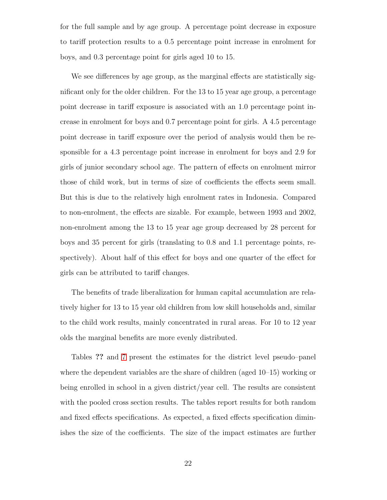for the full sample and by age group. A percentage point decrease in exposure to tariff protection results to a 0.5 percentage point increase in enrolment for boys, and 0.3 percentage point for girls aged 10 to 15.

We see differences by age group, as the marginal effects are statistically significant only for the older children. For the 13 to 15 year age group, a percentage point decrease in tariff exposure is associated with an 1.0 percentage point increase in enrolment for boys and 0.7 percentage point for girls. A 4.5 percentage point decrease in tariff exposure over the period of analysis would then be responsible for a 4.3 percentage point increase in enrolment for boys and 2.9 for girls of junior secondary school age. The pattern of effects on enrolment mirror those of child work, but in terms of size of coefficients the effects seem small. But this is due to the relatively high enrolment rates in Indonesia. Compared to non-enrolment, the effects are sizable. For example, between 1993 and 2002, non-enrolment among the 13 to 15 year age group decreased by 28 percent for boys and 35 percent for girls (translating to 0.8 and 1.1 percentage points, respectively). About half of this effect for boys and one quarter of the effect for girls can be attributed to tariff changes.

The benefits of trade liberalization for human capital accumulation are relatively higher for 13 to 15 year old children from low skill households and, similar to the child work results, mainly concentrated in rural areas. For 10 to 12 year olds the marginal benefits are more evenly distributed.

Tables **??** and [7](#page-34-0) present the estimates for the district level pseudo–panel where the dependent variables are the share of children (aged 10–15) working or being enrolled in school in a given district/year cell. The results are consistent with the pooled cross section results. The tables report results for both random and fixed effects specifications. As expected, a fixed effects specification diminishes the size of the coefficients. The size of the impact estimates are further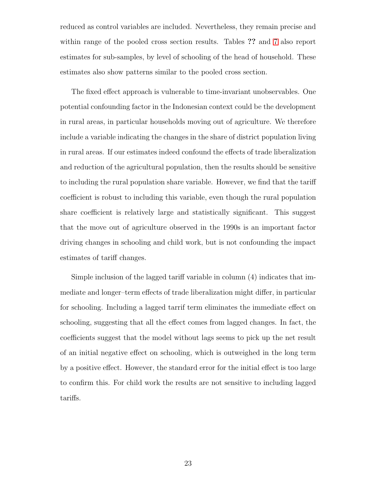reduced as control variables are included. Nevertheless, they remain precise and within range of the pooled cross section results. Tables **??** and [7](#page-34-0) also report estimates for sub-samples, by level of schooling of the head of household. These estimates also show patterns similar to the pooled cross section.

The fixed effect approach is vulnerable to time-invariant unobservables. One potential confounding factor in the Indonesian context could be the development in rural areas, in particular households moving out of agriculture. We therefore include a variable indicating the changes in the share of district population living in rural areas. If our estimates indeed confound the effects of trade liberalization and reduction of the agricultural population, then the results should be sensitive to including the rural population share variable. However, we find that the tariff coefficient is robust to including this variable, even though the rural population share coefficient is relatively large and statistically significant. This suggest that the move out of agriculture observed in the 1990s is an important factor driving changes in schooling and child work, but is not confounding the impact estimates of tariff changes.

Simple inclusion of the lagged tariff variable in column (4) indicates that immediate and longer–term effects of trade liberalization might differ, in particular for schooling. Including a lagged tarrif term eliminates the immediate effect on schooling, suggesting that all the effect comes from lagged changes. In fact, the coefficients suggest that the model without lags seems to pick up the net result of an initial negative effect on schooling, which is outweighed in the long term by a positive effect. However, the standard error for the initial effect is too large to confirm this. For child work the results are not sensitive to including lagged tariffs.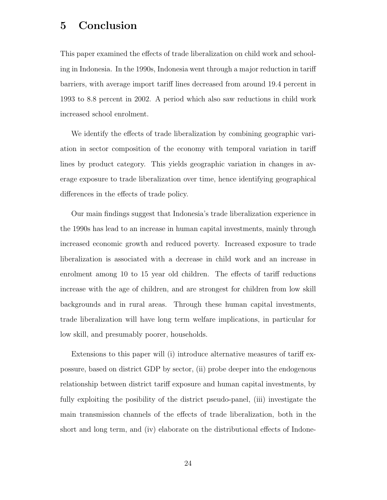# **5 Conclusion**

This paper examined the effects of trade liberalization on child work and schooling in Indonesia. In the 1990s, Indonesia went through a major reduction in tariff barriers, with average import tariff lines decreased from around 19.4 percent in 1993 to 8.8 percent in 2002. A period which also saw reductions in child work increased school enrolment.

We identify the effects of trade liberalization by combining geographic variation in sector composition of the economy with temporal variation in tariff lines by product category. This yields geographic variation in changes in average exposure to trade liberalization over time, hence identifying geographical differences in the effects of trade policy.

Our main findings suggest that Indonesia's trade liberalization experience in the 1990s has lead to an increase in human capital investments, mainly through increased economic growth and reduced poverty. Increased exposure to trade liberalization is associated with a decrease in child work and an increase in enrolment among 10 to 15 year old children. The effects of tariff reductions increase with the age of children, and are strongest for children from low skill backgrounds and in rural areas. Through these human capital investments, trade liberalization will have long term welfare implications, in particular for low skill, and presumably poorer, households.

Extensions to this paper will (i) introduce alternative measures of tariff expossure, based on district GDP by sector, (ii) probe deeper into the endogenous relationship between district tariff exposure and human capital investments, by fully exploiting the posibility of the district pseudo-panel, (iii) investigate the main transmission channels of the effects of trade liberalization, both in the short and long term, and (iv) elaborate on the distributional effects of Indone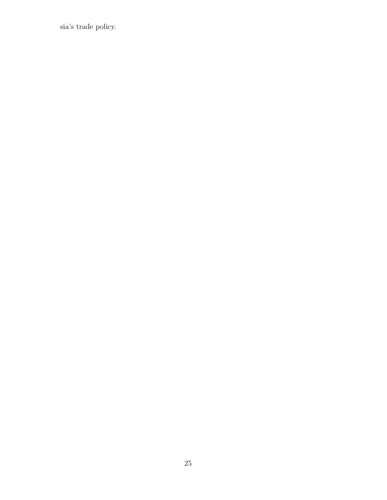sia's trade policy.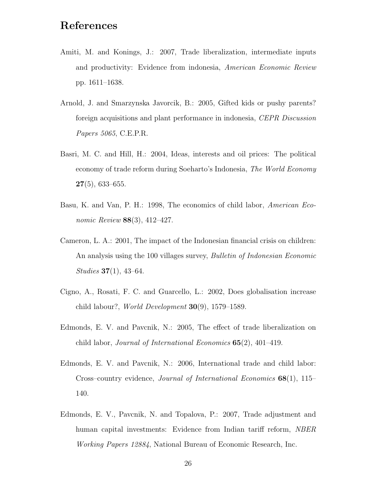# **References**

- Amiti, M. and Konings, J.: 2007, Trade liberalization, intermediate inputs and productivity: Evidence from indonesia, American Economic Review pp. 1611–1638.
- Arnold, J. and Smarzynska Javorcik, B.: 2005, Gifted kids or pushy parents? foreign acquisitions and plant performance in indonesia, CEPR Discussion Papers 5065, C.E.P.R.
- Basri, M. C. and Hill, H.: 2004, Ideas, interests and oil prices: The political economy of trade reform during Soeharto's Indonesia, The World Economy **27**(5), 633–655.
- Basu, K. and Van, P. H.: 1998, The economics of child labor, American Economic Review **88**(3), 412–427.
- Cameron, L. A.: 2001, The impact of the Indonesian financial crisis on children: An analysis using the 100 villages survey, *Bulletin of Indonesian Economic* Studies **37**(1), 43–64.
- Cigno, A., Rosati, F. C. and Guarcello, L.: 2002, Does globalisation increase child labour?, World Development **30**(9), 1579–1589.
- Edmonds, E. V. and Pavcnik, N.: 2005, The effect of trade liberalization on child labor, Journal of International Economics **65**(2), 401–419.
- Edmonds, E. V. and Pavcnik, N.: 2006, International trade and child labor: Cross–country evidence, Journal of International Economics **68**(1), 115– 140.
- Edmonds, E. V., Pavcnik, N. and Topalova, P.: 2007, Trade adjustment and human capital investments: Evidence from Indian tariff reform, *NBER* Working Papers 12884, National Bureau of Economic Research, Inc.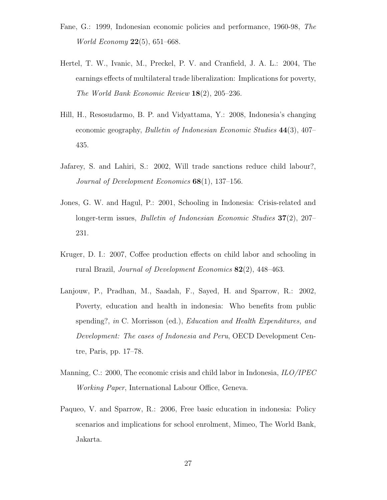- Fane, G.: 1999, Indonesian economic policies and performance, 1960-98, The World Economy **22**(5), 651–668.
- Hertel, T. W., Ivanic, M., Preckel, P. V. and Cranfield, J. A. L.: 2004, The earnings effects of multilateral trade liberalization: Implications for poverty, The World Bank Economic Review **18**(2), 205–236.
- Hill, H., Resosudarmo, B. P. and Vidyattama, Y.: 2008, Indonesia's changing economic geography, Bulletin of Indonesian Economic Studies **44**(3), 407– 435.
- Jafarey, S. and Lahiri, S.: 2002, Will trade sanctions reduce child labour?, Journal of Development Economics **68**(1), 137–156.
- Jones, G. W. and Hagul, P.: 2001, Schooling in Indonesia: Crisis-related and longer-term issues, Bulletin of Indonesian Economic Studies **37**(2), 207– 231.
- Kruger, D. I.: 2007, Coffee production effects on child labor and schooling in rural Brazil, Journal of Development Economics **82**(2), 448–463.
- Lanjouw, P., Pradhan, M., Saadah, F., Sayed, H. and Sparrow, R.: 2002, Poverty, education and health in indonesia: Who benefits from public spending?, in C. Morrisson (ed.), *Education and Health Expenditures*, and Development: The cases of Indonesia and Peru, OECD Development Centre, Paris, pp. 17–78.
- Manning, C.: 2000, The economic crisis and child labor in Indonesia, ILO/IPEC Working Paper, International Labour Office, Geneva.
- Paqueo, V. and Sparrow, R.: 2006, Free basic education in indonesia: Policy scenarios and implications for school enrolment, Mimeo, The World Bank, Jakarta.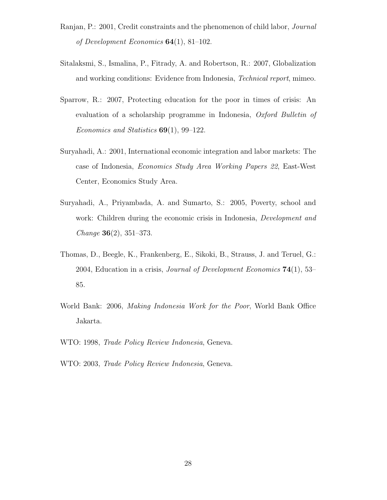- Ranjan, P.: 2001, Credit constraints and the phenomenon of child labor, Journal of Development Economics **64**(1), 81–102.
- Sitalaksmi, S., Ismalina, P., Fitrady, A. and Robertson, R.: 2007, Globalization and working conditions: Evidence from Indonesia, Technical report, mimeo.
- Sparrow, R.: 2007, Protecting education for the poor in times of crisis: An evaluation of a scholarship programme in Indonesia, Oxford Bulletin of Economics and Statistics **69**(1), 99–122.
- Suryahadi, A.: 2001, International economic integration and labor markets: The case of Indonesia, Economics Study Area Working Papers 22, East-West Center, Economics Study Area.
- Suryahadi, A., Priyambada, A. and Sumarto, S.: 2005, Poverty, school and work: Children during the economic crisis in Indonesia, *Development and* Change **36**(2), 351–373.
- Thomas, D., Beegle, K., Frankenberg, E., Sikoki, B., Strauss, J. and Teruel, G.: 2004, Education in a crisis, Journal of Development Economics **74**(1), 53– 85.
- World Bank: 2006, Making Indonesia Work for the Poor, World Bank Office Jakarta.
- WTO: 1998, Trade Policy Review Indonesia, Geneva.
- WTO: 2003, Trade Policy Review Indonesia, Geneva.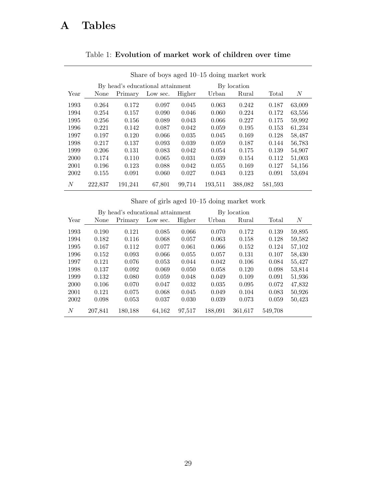# **A Tables**

|      |         |         | Share of boys aged $10-15$ doing market work |        |         |             |         |        |
|------|---------|---------|----------------------------------------------|--------|---------|-------------|---------|--------|
|      |         |         | By head's educational attainment             |        |         | By location |         |        |
| Year | None    | Primary | Low sec.                                     | Higher | Urban   | Rural       | Total   | N      |
| 1993 | 0.264   | 0.172   | 0.097                                        | 0.045  | 0.063   | 0.242       | 0.187   | 63,009 |
| 1994 | 0.254   | 0.157   | 0.090                                        | 0.046  | 0.060   | 0.224       | 0.172   | 63,556 |
| 1995 | 0.256   | 0.156   | 0.089                                        | 0.043  | 0.066   | 0.227       | 0.175   | 59,992 |
| 1996 | 0.221   | 0.142   | 0.087                                        | 0.042  | 0.059   | 0.195       | 0.153   | 61,234 |
| 1997 | 0.197   | 0.120   | 0.066                                        | 0.035  | 0.045   | 0.169       | 0.128   | 58,487 |
| 1998 | 0.217   | 0.137   | 0.093                                        | 0.039  | 0.059   | 0.187       | 0.144   | 56,783 |
| 1999 | 0.206   | 0.131   | 0.083                                        | 0.042  | 0.054   | 0.175       | 0.139   | 54,907 |
| 2000 | 0.174   | 0.110   | 0.065                                        | 0.031  | 0.039   | 0.154       | 0.112   | 51,003 |
| 2001 | 0.196   | 0.123   | 0.088                                        | 0.042  | 0.055   | 0.169       | 0.127   | 54,156 |
| 2002 | 0.155   | 0.091   | 0.060                                        | 0.027  | 0.043   | 0.123       | 0.091   | 53.694 |
| N    | 222,837 | 191,241 | 67,801                                       | 99,714 | 193,511 | 388,082     | 581,593 |        |

# <span id="page-28-0"></span>Table 1: **Evolution of market work of children over time**

Share of girls aged 10–15 doing market work

|                  |         |         | By head's educational attainment |        |         | By location |         |        |
|------------------|---------|---------|----------------------------------|--------|---------|-------------|---------|--------|
| Year             | None    | Primary | Low sec.                         | Higher | Urban   | Rural       | Total   | N      |
| 1993             | 0.190   | 0.121   | 0.085                            | 0.066  | 0.070   | 0.172       | 0.139   | 59,895 |
| 1994             | 0.182   | 0.116   | 0.068                            | 0.057  | 0.063   | 0.158       | 0.128   | 59,582 |
| 1995             | 0.167   | 0.112   | 0.077                            | 0.061  | 0.066   | 0.152       | 0.124   | 57,102 |
| 1996             | 0.152   | 0.093   | 0.066                            | 0.055  | 0.057   | 0.131       | 0.107   | 58,430 |
| 1997             | 0.121   | 0.076   | 0.053                            | 0.044  | 0.042   | 0.106       | 0.084   | 55,427 |
| 1998             | 0.137   | 0.092   | 0.069                            | 0.050  | 0.058   | 0.120       | 0.098   | 53,814 |
| 1999             | 0.132   | 0.080   | 0.059                            | 0.048  | 0.049   | 0.109       | 0.091   | 51,936 |
| 2000             | 0.106   | 0.070   | 0.047                            | 0.032  | 0.035   | 0.095       | 0.072   | 47,832 |
| 2001             | 0.121   | 0.075   | 0.068                            | 0.045  | 0.049   | 0.104       | 0.083   | 50,926 |
| 2002             | 0.098   | 0.053   | 0.037                            | 0.030  | 0.039   | 0.073       | 0.059   | 50,423 |
| $\boldsymbol{N}$ | 207,841 | 180,188 | 64,162                           | 97,517 | 188,091 | 361,617     | 549,708 |        |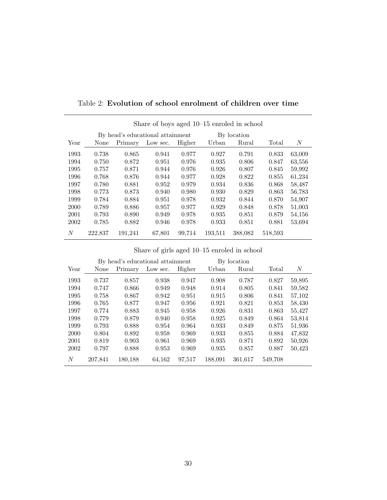|      |         |         | Share of boys aged $10-15$ enroled in school |        |         |             |         |        |
|------|---------|---------|----------------------------------------------|--------|---------|-------------|---------|--------|
|      |         |         | By head's educational attainment             |        |         | By location |         |        |
| Year | None    | Primary | Low sec.                                     | Higher | Urban   | Rural       | Total   | N      |
| 1993 | 0.738   | 0.865   | 0.941                                        | 0.977  | 0.927   | 0.791       | 0.833   | 63,009 |
| 1994 | 0.750   | 0.872   | 0.951                                        | 0.976  | 0.935   | 0.806       | 0.847   | 63,556 |
| 1995 | 0.757   | 0.871   | 0.944                                        | 0.976  | 0.926   | 0.807       | 0.845   | 59,992 |
| 1996 | 0.768   | 0.876   | 0.944                                        | 0.977  | 0.928   | 0.822       | 0.855   | 61,234 |
| 1997 | 0.780   | 0.881   | 0.952                                        | 0.979  | 0.934   | 0.836       | 0.868   | 58,487 |
| 1998 | 0.773   | 0.873   | 0.940                                        | 0.980  | 0.930   | 0.829       | 0.863   | 56,783 |
| 1999 | 0.784   | 0.884   | 0.951                                        | 0.978  | 0.932   | 0.844       | 0.870   | 54,907 |
| 2000 | 0.789   | 0.886   | 0.957                                        | 0.977  | 0.929   | 0.848       | 0.878   | 51,003 |
| 2001 | 0.793   | 0.890   | 0.949                                        | 0.978  | 0.935   | 0.851       | 0.879   | 54,156 |
| 2002 | 0.785   | 0.882   | 0.946                                        | 0.978  | 0.933   | 0.851       | 0.881   | 53,694 |
| N    | 222,837 | 191,241 | 67,801                                       | 99,714 | 193,511 | 388,082     | 518,593 |        |

<span id="page-29-0"></span>Table 2: **Evolution of school enrolment of children over time**

Share of girls aged 10–15 enroled in school

|      |         |         | By head's educational attainment |        |         | By location |         |        |
|------|---------|---------|----------------------------------|--------|---------|-------------|---------|--------|
| Year | None    | Primary | Low sec.                         | Higher | Urban   | Rural       | Total   | N      |
| 1993 | 0.737   | 0.857   | 0.938                            | 0.947  | 0.908   | 0.787       | 0.827   | 59,895 |
| 1994 | 0.747   | 0.866   | 0.949                            | 0.948  | 0.914   | 0.805       | 0.841   | 59,582 |
| 1995 | 0.758   | 0.867   | 0.942                            | 0.951  | 0.915   | 0.806       | 0.841   | 57,102 |
| 1996 | 0.765   | 0.877   | 0.947                            | 0.956  | 0.921   | 0.821       | 0.853   | 58,430 |
| 1997 | 0.774   | 0.883   | 0.945                            | 0.958  | 0.926   | 0.831       | 0.863   | 55,427 |
| 1998 | 0.779   | 0.879   | 0.940                            | 0.958  | 0.925   | 0.849       | 0.864   | 53,814 |
| 1999 | 0.793   | 0.888   | 0.954                            | 0.964  | 0.933   | 0.849       | 0.875   | 51,936 |
| 2000 | 0.804   | 0.892   | 0.958                            | 0.969  | 0.933   | 0.855       | 0.884   | 47,832 |
| 2001 | 0.819   | 0.903   | 0.961                            | 0.969  | 0.935   | 0.871       | 0.892   | 50,926 |
| 2002 | 0.797   | 0.888   | 0.953                            | 0.969  | 0.935   | 0.857       | 0.887   | 50,423 |
| N    | 207,841 | 180,188 | 64,162                           | 97,517 | 188,091 | 361,617     | 549,708 |        |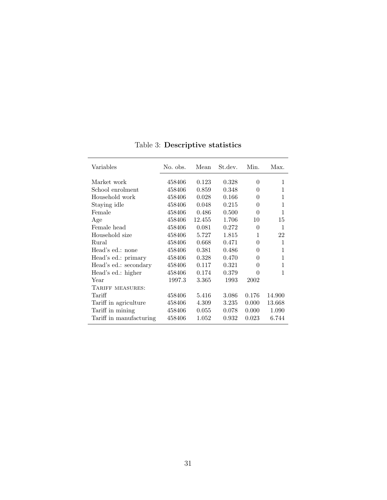| Variables               | No. obs. | Mean   | St.dev. | Min.     | Max.         |
|-------------------------|----------|--------|---------|----------|--------------|
| Market work             | 458406   | 0.123  | 0.328   | $\Omega$ | 1            |
| School enrolment        | 458406   | 0.859  | 0.348   | 0        | 1            |
| Household work          | 458406   | 0.028  | 0.166   | $\Omega$ | 1            |
| Staying idle            | 458406   | 0.048  | 0.215   | $\Omega$ | $\mathbf{1}$ |
| Female                  | 458406   | 0.486  | 0.500   | $\Omega$ | $\mathbf{1}$ |
| Age                     | 458406   | 12.455 | 1.706   | 10       | 15           |
| Female head             | 458406   | 0.081  | 0.272   | $\Omega$ | $\mathbf{1}$ |
| Household size          | 458406   | 5.727  | 1.815   | 1        | 22           |
| Rural                   | 458406   | 0.668  | 0.471   | 0        | 1            |
| Head's ed.: none        | 458406   | 0.381  | 0.486   | $\Omega$ | 1            |
| Head's ed.: primary     | 458406   | 0.328  | 0.470   | $\Omega$ | $\mathbf{1}$ |
| Head's ed.: secondary   | 458406   | 0.117  | 0.321   | $\Omega$ | 1            |
| Head's ed.: higher      | 458406   | 0.174  | 0.379   | 0        | 1            |
| Year                    | 1997.3   | 3.365  | 1993    | 2002     |              |
| TARIFF MEASURES:        |          |        |         |          |              |
| Tariff                  | 458406   | 5.416  | 3.086   | 0.176    | 14.900       |
| Tariff in agriculture   | 458406   | 4.309  | 3.235   | 0.000    | 13.668       |
| Tariff in mining        | 458406   | 0.055  | 0.078   | 0.000    | 1.090        |
| Tariff in manufacturing | 458406   | 1.052  | 0.932   | 0.023    | 6.744        |

<span id="page-30-0"></span>Table 3: **Descriptive statistics**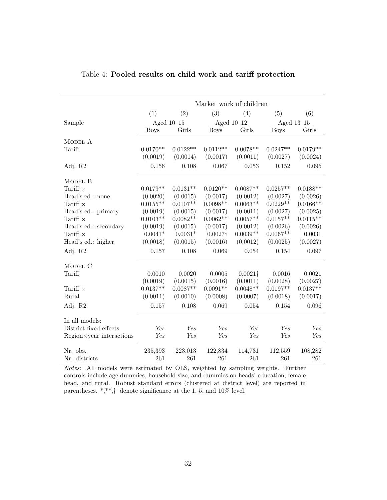|                          |             |              | Market work of children |                 |             |              |
|--------------------------|-------------|--------------|-------------------------|-----------------|-------------|--------------|
|                          | (1)         | (2)          | (3)                     | (4)             | (5)         | (6)          |
| Sample                   |             | Aged $10-15$ |                         | Aged $10-12$    |             | Aged $13-15$ |
|                          | <b>Boys</b> | Girls        | <b>Boys</b>             | Girls           | <b>Boys</b> | Girls        |
| MODEL A                  |             |              |                         |                 |             |              |
| Tariff                   | $0.0170**$  | $0.0122**$   | $0.0112**$              | $0.0078**$      | $0.0247**$  | $0.0179**$   |
|                          | (0.0019)    | (0.0014)     | (0.0017)                | (0.0011)        | (0.0027)    | (0.0024)     |
| Adj. R2                  | 0.156       | 0.108        | 0.067                   | 0.053           | 0.152       | 0.095        |
| MODEL B                  |             |              |                         |                 |             |              |
| Tariff $\times$          | $0.0179**$  | $0.0131**$   | $0.0120**$              | $0.0087**$      | $0.0257**$  | $0.0188**$   |
| Head's ed.: none         | (0.0020)    | (0.0015)     | (0.0017)                | (0.0012)        | (0.0027)    | (0.0026)     |
| Tariff $\times$          | $0.0155**$  | $0.0107**$   | $0.0098**$              | $0.0063**$      | $0.0229**$  | $0.0166**$   |
| Head's ed.: primary      | (0.0019)    | (0.0015)     | (0.0017)                | (0.0011)        | (0.0027)    | (0.0025)     |
| Tariff $\times$          | $0.0103**$  | $0.0082**$   | $0.0062**$              | $0.0057**$      | $0.0157**$  | $0.0115**$   |
| Head's ed.: secondary    | (0.0019)    | (0.0015)     | (0.0017)                | (0.0012)        | (0.0026)    | (0.0026)     |
| Tariff $\times$          | $0.0041*$   | $0.0031*$    | $0.0027\dagger$         | $0.0039**$      | $0.0067**$  | 0.0031       |
| Head's ed.: higher       | (0.0018)    | (0.0015)     | (0.0016)                | (0.0012)        | (0.0025)    | (0.0027)     |
| Adj. R2                  | 0.157       | 0.108        | 0.069                   | 0.054           | 0.154       | 0.097        |
| MODEL C                  |             |              |                         |                 |             |              |
| Tariff                   | 0.0010      | 0.0020       | 0.0005                  | $0.0021\dagger$ | 0.0016      | 0.0021       |
|                          | (0.0019)    | (0.0015)     | (0.0016)                | (0.0011)        | (0.0028)    | (0.0027)     |
| Tariff $\times$          | $0.0137**$  | $0.0087**$   | $0.0091**$              | $0.0048**$      | $0.0197**$  | $0.0137**$   |
| Rural                    | (0.0011)    | (0.0010)     | (0.0008)                | (0.0007)        | (0.0018)    | (0.0017)     |
| Adj. R2                  | 0.157       | 0.108        | 0.069                   | 0.054           | 0.154       | 0.096        |
| In all models:           |             |              |                         |                 |             |              |
| District fixed effects   | Yes         | Yes          | Yes                     | Yes             | Yes         | Yes          |
| Region×year interactions | Yes         | Yes          | Yes                     | Yes             | Yes         | Yes          |
| Nr. obs.                 | 235,393     | 223,013      | 122,834                 | 114,731         | 112,559     | 108,282      |
| Nr. districts            | 261         | 261          | 261                     | 261             | 261         | 261          |

# <span id="page-31-0"></span>Table 4: **Pooled results on child work and tariff protection**

*Notes*: All models were estimated by OLS, weighted by sampling weights. Further controls include age dummies, household size, and dummies on heads' education, female head, and rural. Robust standard errors (clustered at district level) are reported in parentheses. \*,\*\*,† denote significance at the 1, 5, and 10% level.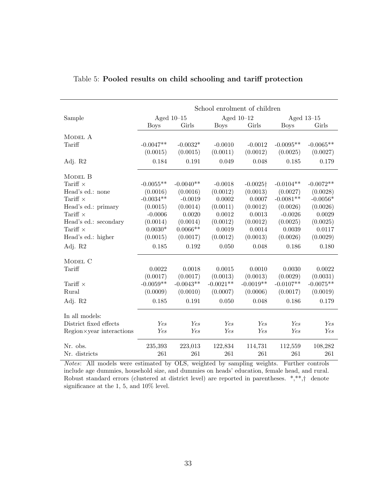|                          |             |              | School enrolment of children |                  |             |              |
|--------------------------|-------------|--------------|------------------------------|------------------|-------------|--------------|
| Sample                   |             | Aged $10-15$ | Aged $10-12$                 |                  |             | Aged $13-15$ |
|                          | <b>Boys</b> | Girls        | <b>Boys</b>                  | Girls            | <b>Boys</b> | Girls        |
| MODEL A                  |             |              |                              |                  |             |              |
| Tariff                   | $-0.0047**$ | $-0.0032*$   | $-0.0010$                    | $-0.0012$        | $-0.0095**$ | $-0.0065**$  |
|                          | (0.0015)    | (0.0015)     | (0.0011)                     | (0.0012)         | (0.0025)    | (0.0027)     |
| Adj. R2                  | 0.184       | 0.191        | 0.049                        | 0.048            | 0.185       | 0.179        |
| MODEL B                  |             |              |                              |                  |             |              |
| Tariff $\times$          | $-0.0055**$ | $-0.0040**$  | $-0.0018$                    | $-0.0025\dagger$ | $-0.0104**$ | $-0.0072**$  |
| Head's ed.: none         | (0.0016)    | (0.0016)     | (0.0012)                     | (0.0013)         | (0.0027)    | (0.0028)     |
| Tariff $\times$          | $-0.0034**$ | $-0.0019$    | 0.0002                       | 0.0007           | $-0.0081**$ | $-0.0056*$   |
| Head's ed.: primary      | (0.0015)    | (0.0014)     | (0.0011)                     | (0.0012)         | (0.0026)    | (0.0026)     |
| Tariff $\times$          | $-0.0006$   | 0.0020       | 0.0012                       | 0.0013           | $-0.0026$   | 0.0029       |
| Head's ed.: secondary    | (0.0014)    | (0.0014)     | (0.0012)                     | (0.0012)         | (0.0025)    | (0.0025)     |
| Tariff $\times$          | $0.0030*$   | $0.0066**$   | 0.0019                       | 0.0014           | 0.0039      | 0.0117       |
| Head's ed.: higher       | (0.0015)    | (0.0017)     | (0.0012)                     | (0.0013)         | (0.0026)    | (0.0029)     |
| Adj. R2                  | 0.185       | 0.192        | 0.050                        | 0.048            | 0.186       | 0.180        |
| MODEL C                  |             |              |                              |                  |             |              |
| Tariff                   | 0.0022      | 0.0018       | 0.0015                       | 0.0010           | 0.0030      | 0.0022       |
|                          | (0.0017)    | (0.0017)     | (0.0013)                     | (0.0013)         | (0.0029)    | (0.0031)     |
| Tariff $\times$          | $-0.0059**$ | $-0.0043**$  | $-0.0021**$                  | $-0.0019**$      | $-0.0107**$ | $-0.0075**$  |
| Rural                    | (0.0009)    | (0.0010)     | (0.0007)                     | (0.0006)         | (0.0017)    | (0.0019)     |
| Adj. R2                  | 0.185       | 0.191        | 0.050                        | 0.048            | 0.186       | 0.179        |
| In all models:           |             |              |                              |                  |             |              |
| District fixed effects   | Yes         | Yes          | Yes                          | Yes              | Yes         | Yes          |
| Region×year interactions | Yes         | Yes          | Yes                          | Yes              | Yes         | Yes          |
| Nr. obs.                 | 235,393     | 223,013      | 122,834                      | 114,731          | 112,559     | 108,282      |
| Nr. districts            | 261         | 261          | 261                          | 261              | 261         | 261          |

## <span id="page-32-0"></span>Table 5: **Pooled results on child schooling and tariff protection**

*Notes*: All models were estimated by OLS, weighted by sampling weights. Further controls include age dummies, household size, and dummies on heads' education, female head, and rural. Robust standard errors (clustered at district level) are reported in parentheses. \*,\*\*,† denote significance at the 1, 5, and 10% level.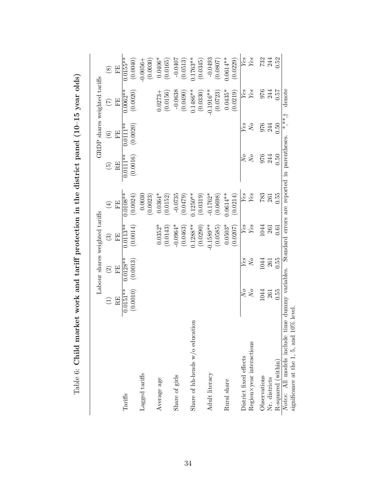|                                                                            |                          |                        | Labour shares weighted tariffs |                                              |                        |                        | GRDP shares weighted tariffs |                         |
|----------------------------------------------------------------------------|--------------------------|------------------------|--------------------------------|----------------------------------------------|------------------------|------------------------|------------------------------|-------------------------|
|                                                                            | $\widehat{\Xi}$          | $\widehat{\infty}$     | $\odot$                        | $\bigoplus$                                  | $\widetilde{E}$        | $\odot$                | $\widehat{\mathcal{L}}$      | $\circledast$           |
|                                                                            | $_{\rm{RF}}$             | FE                     | EE                             | Ë                                            | RE                     | EE                     | E                            | EE                      |
| Tariffs                                                                    | $0.0151**$<br>(0.0010)   | (0.0013)<br>$0.0128**$ | $0.0113**$<br>(0.0014)         | $0.0108**$<br>(0.0024)                       | $0.0111**$<br>(0.0016) | $0.0111**$<br>(0.0020) | $0.0062**$<br>(0.0020)       | $0.0155**$<br>(0.0040)  |
| Lagged tariffs                                                             |                          |                        |                                | 0.0030<br>(0.0023)                           |                        |                        |                              | (0.0030)<br>$0.0056 -$  |
| Average age                                                                |                          |                        | $0.0352*$<br>(0.0143)          | $0.0364*$<br>(0.0152)                        |                        |                        | (0.0156)<br>$0.0273 +$       | $0.0406*$<br>(0.0165)   |
| Share of girls                                                             |                          |                        | $-0.0964*$<br>(0.0463)         | $-0.0735$<br>(0.0479)                        |                        |                        | $-0.0638$<br>(0.0490)        | -0.0407<br>(0.0513)     |
| Share of hh-heads w/o education                                            |                          |                        | $0.1288**$<br>(0.0290)         | $0.1250**$<br>(0.0319)                       |                        |                        | $0.1486**$<br>(0.0330)       | $0.1763**$<br>(0.0345)  |
| Adult literacy                                                             |                          |                        | $-0.1589**$<br>(0.0585)        | $-0.1762*$<br>(0.0698)                       |                        |                        | $0.1916**$<br>(0.0723)       | $-0.0493$<br>(0.0807)   |
| Rural share                                                                |                          |                        | $0.0503*$<br>(0.0207)          | $0.0614**$<br>(0.0214)                       |                        |                        | $0.0435*$<br>(0.0219)        | $0.0614***$<br>(0.0229) |
| District fixed effects                                                     | $N_o$                    | Yes                    | $\overline{Yes}$               | $\overline{Yes}$                             | $N_o$                  | Yes                    | $\overline{Yes}$             | Yes                     |
| Region × year interactions                                                 | $N{\mskip -1.5mu\sigma}$ | $N\!o$                 | $Yes$                          | Yes                                          | $\sqrt{O}$             | $N_o$                  | $Yes$                        | Yes                     |
| Observations                                                               | 1044                     | 1044                   | 1044                           | 783                                          | 976                    | 976                    | 976                          | 732                     |
| Nr. districts                                                              | 261                      | 261                    | 261                            | 261                                          | 244                    | 244                    | 244                          | 244                     |
| R-squared (within)                                                         | 0.55                     | 0.55                   | 0.61                           | 0.55                                         | 0.50                   | 0.50                   | 75.0                         | 0.52                    |
| $10\%$ level<br>Notes: All models include<br>significance at the 1, 5, and | time dummy variables.    |                        |                                | Standard errors are reported in parentheses. |                        | $* * * +$              | denote                       |                         |

Table 6: Child market work and tariff protection in the district panel (10-15 year olds) Table 6: Child market work and tariff protection in the district panel  $(10-15 \text{ year olds})$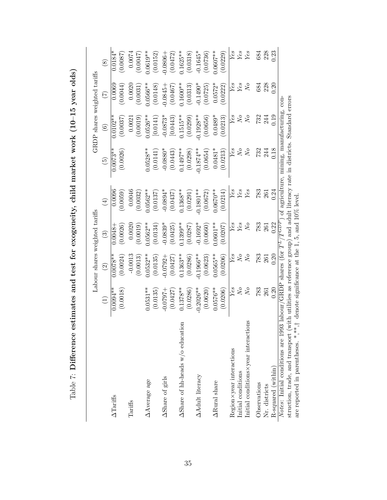|                                                                                                                           |                                                | Labour shares weighted tariffs |                |             |                                             | GRDP shares weighted tariffs |                 |             |
|---------------------------------------------------------------------------------------------------------------------------|------------------------------------------------|--------------------------------|----------------|-------------|---------------------------------------------|------------------------------|-----------------|-------------|
|                                                                                                                           | $\left( \begin{matrix} 1 \end{matrix} \right)$ | $\widehat{\mathfrak{D}}$       | $\widehat{S}$  | $\bigoplus$ | $\widetilde{E}$                             | $\odot$                      | $\widehat{\Xi}$ | $\circledS$ |
| $\Delta$ Tariffs                                                                                                          | $0.0094**$                                     | $0.0078**$                     | $-8500.0$      | 0.0096      | $0.0073**$                                  | $0.0102**$                   | 0.0069          | $0.0184*$   |
|                                                                                                                           | (0.0018)                                       | (0.0024)                       | (0.0026)       | 0.0059      | (0.0026)                                    | (0.0037)                     | (0.0044)        | (0.0087)    |
| Tariffs                                                                                                                   |                                                | $-0.0013$                      | 0.0020         | 0.0046      |                                             | 0.0021                       | 0.0020          | 0.0074      |
|                                                                                                                           |                                                | (0.0013)                       | (0.0019)       | (0.0032)    |                                             | (0.0019)                     | (0.0031)        | (0.0047)    |
| AAverage age                                                                                                              | $0.0531**$                                     | $0.0532***$                    | $0.0562***$    | $0.0562**$  | $0.0528**$                                  | $0.0526**$                   | $0.0566***$     | $0.0619**$  |
|                                                                                                                           | (0.0135)                                       | (0.0135)                       | (0.0134)       | (0.0137)    | (0.0141)                                    | [0.0141]                     | (0.0148)        | (0.0152)    |
| AShare of girls                                                                                                           | $-70.0$                                        | $-0.0792 -$                    | $-0.0839*$     | $-0.0894*$  | $-0.0880*$                                  | $-0.0873*$                   | $-0.0845-$      | 0.0806-     |
|                                                                                                                           | (0.0427)                                       | (0.0427)                       | (0.0425)       | (0.0437)    | (0.0443)                                    | [0.0443]                     | (0.0467)        | (0.0472)    |
| $\Delta$ Share of hh-heads w/o education                                                                                  | $0.1378**$                                     | $0.1363**$                     | $0.1399**$     | $0.1368**$  | $0.1497***$                                 | $0.1515***$                  | $0.1600**$      | $0.1625**$  |
|                                                                                                                           | (0.0286)                                       | (0.0286)                       | (0.0287)       | (0.0291)    | (0.0298)                                    | (0.0299)                     | (0.0313)        | (0.0318)    |
| AAdult literacy                                                                                                           | $-0.2026**$                                    | $0.1966**$                     | $-0.1692*$     | $-0.1801**$ | $-0.1874***$                                | $-0.1928**$                  | $-0.1490*$      | $-0.1645*$  |
|                                                                                                                           | (0.0620)                                       | (0.0623)                       | (0.0660)       | (0.0672)    | (0.0654)                                    | (0.0656)                     | (0.0725)        | (0.0736)    |
| $\Delta \text{Rural share}$                                                                                               | $0.0576**$                                     | $0.0565***$                    | $0.0601***$    | $0.0670**$  | $0.0481*$                                   | $0.0489*$                    | $0.0572*$       | $0.0607***$ |
|                                                                                                                           | (0.0206)                                       | (0.0206)                       | (0.0207)       | (0.0214)    | (0.0213)                                    | (0.0213)                     | (0.0222)        | 0.0229      |
| $Region \times year$ interactions                                                                                         | Yes                                            | Yes                            | Yes            | Yes         | Yes                                         | Yes                          | Yes             | Yes         |
| Initial conditions                                                                                                        | $_{\rm N_o}^{\rm o}$                           | $N \ensuremath{\mathit{o}}$    | Yes            | Yes         | $\overline{N}$                              | $N_o$                        | Yes             | Yes         |
| Initial conditions×year interactions                                                                                      |                                                | $\overline{N}$                 | $\overline{N}$ | Yes         | $N_o$                                       | $\overline{N}$               | N <sub>o</sub>  | Yes         |
| Observations                                                                                                              | 783                                            | 783                            | 783            | 783         | 732                                         | 732                          | 684             | 684         |
| Nr. districts                                                                                                             | 261                                            | 261                            | 261            | 261         | 244                                         | 244                          | 228             | 228         |
| R-squared (within)                                                                                                        | 0.20                                           | 0.20                           | 0.22           | 0.24        | 0.18                                        | 0.19                         | 0.20            | 0.23        |
| <i>Notes</i> : Initial conditions are 1993 labour/GRDP shares (for $\prime$                                               |                                                |                                | TCDDP          |             | of agriculture, mining, manufacturing, con- |                              |                 |             |
| struction, trade, and transport (with utilities as reference group) and adult literacy rate in districts. Standard errors |                                                |                                |                |             |                                             |                              |                 |             |
| are reported in parentheses. *,**,+ denote significance at the 1, 5, and $10\%$ level                                     |                                                |                                |                |             |                                             |                              |                 |             |

Table 7: Difference estimates and test for exogeneity, child market work  $(10-15 \text{ year olds})$ 

Table 7: Difference estimates and test for exogeneity, child market work (10-15 year olds)

<span id="page-34-0"></span>35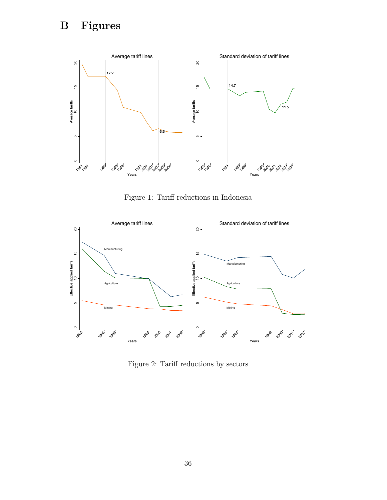

<span id="page-35-0"></span>Figure 1: Tariff reductions in Indonesia



<span id="page-35-1"></span>Figure 2: Tariff reductions by sectors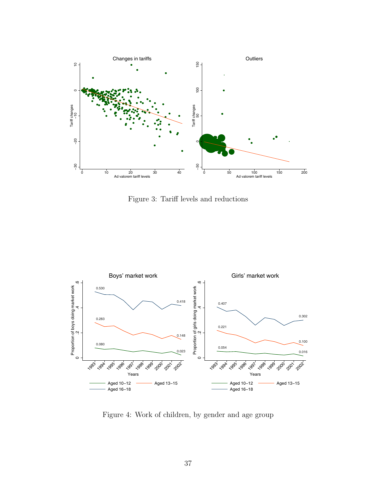

<span id="page-36-0"></span>Figure 3: Tariff levels and reductions



<span id="page-36-1"></span>Figure 4: Work of children, by gender and age group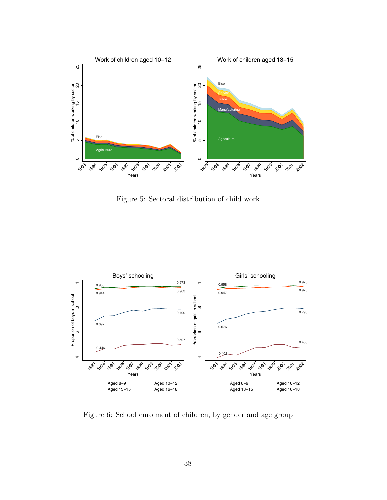

<span id="page-37-0"></span>Figure 5: Sectoral distribution of child work



<span id="page-37-1"></span>Figure 6: School enrolment of children, by gender and age group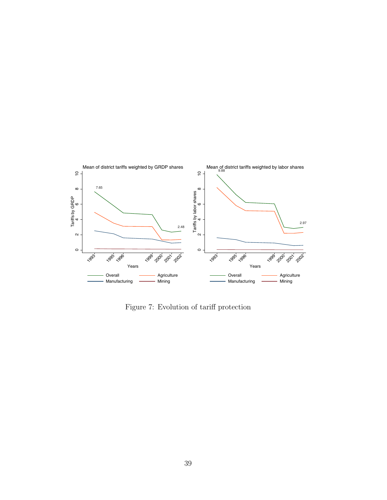

<span id="page-38-0"></span>Figure 7: Evolution of tariff protection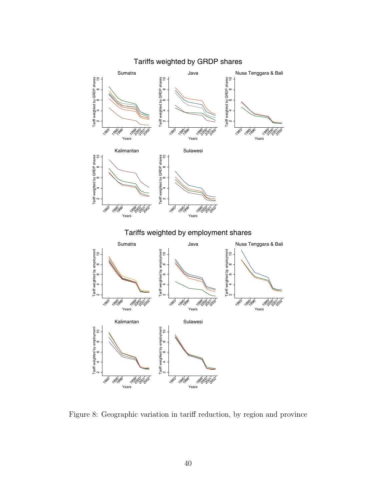

<span id="page-39-0"></span>Figure 8: Geographic variation in tariff reduction, by region and province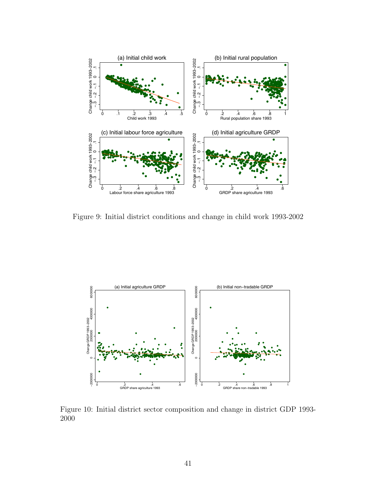

<span id="page-40-0"></span>Figure 9: Initial district conditions and change in child work 1993-2002



<span id="page-40-1"></span>Figure 10: Initial district sector composition and change in district GDP 1993- 2000